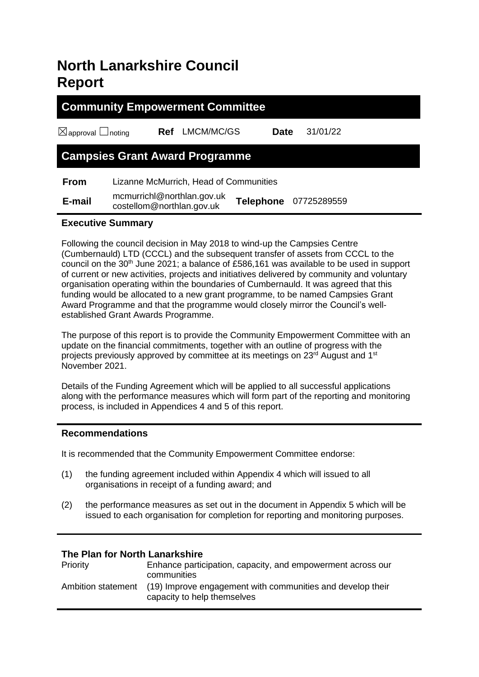# **North Lanarkshire Council Report**

# **Community Empowerment Committee** ☒approval ☐noting **Ref** LMCM/MC/GS **Date** 31/01/22 **Campsies Grant Award Programme From** Lizanne McMurrich, Head of Communities

 **E-mail** mcmurrichl@northlan.gov.uk costellom@northlan.gov.uk **Telephone** <sup>07725289559</sup>

#### **Executive Summary**

Following the council decision in May 2018 to wind-up the Campsies Centre (Cumbernauld) LTD (CCCL) and the subsequent transfer of assets from CCCL to the council on the  $30<sup>th</sup>$  June 2021; a balance of £586,161 was available to be used in support of current or new activities, projects and initiatives delivered by community and voluntary organisation operating within the boundaries of Cumbernauld. It was agreed that this funding would be allocated to a new grant programme, to be named Campsies Grant Award Programme and that the programme would closely mirror the Council's wellestablished Grant Awards Programme.

The purpose of this report is to provide the Community Empowerment Committee with an update on the financial commitments, together with an outline of progress with the projects previously approved by committee at its meetings on 23rd August and 1st November 2021.

Details of the Funding Agreement which will be applied to all successful applications along with the performance measures which will form part of the reporting and monitoring process, is included in Appendices 4 and 5 of this report.

#### **Recommendations**

It is recommended that the Community Empowerment Committee endorse:

- (1) the funding agreement included within Appendix 4 which will issued to all organisations in receipt of a funding award; and
- (2) the performance measures as set out in the document in Appendix 5 which will be issued to each organisation for completion for reporting and monitoring purposes.

#### **The Plan for North Lanarkshire**

| Priority | Enhance participation, capacity, and empowerment across our<br>communities                                   |
|----------|--------------------------------------------------------------------------------------------------------------|
|          | Ambition statement (19) Improve engagement with communities and develop their<br>capacity to help themselves |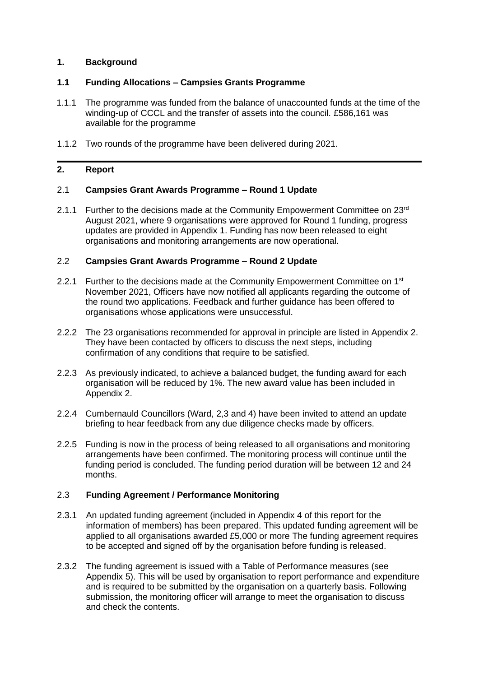#### **1. Background**

#### **1.1 Funding Allocations – Campsies Grants Programme**

- 1.1.1 The programme was funded from the balance of unaccounted funds at the time of the winding-up of CCCL and the transfer of assets into the council. £586,161 was available for the programme
- 1.1.2 Two rounds of the programme have been delivered during 2021.

#### **2. Report**

#### 2.1 **Campsies Grant Awards Programme – Round 1 Update**

2.1.1 Further to the decisions made at the Community Empowerment Committee on  $23<sup>rd</sup>$ August 2021, where 9 organisations were approved for Round 1 funding, progress updates are provided in Appendix 1. Funding has now been released to eight organisations and monitoring arrangements are now operational.

#### 2.2 **Campsies Grant Awards Programme – Round 2 Update**

- 2.2.1 Further to the decisions made at the Community Empowerment Committee on  $1<sup>st</sup>$ November 2021, Officers have now notified all applicants regarding the outcome of the round two applications. Feedback and further guidance has been offered to organisations whose applications were unsuccessful.
- 2.2.2 The 23 organisations recommended for approval in principle are listed in Appendix 2. They have been contacted by officers to discuss the next steps, including confirmation of any conditions that require to be satisfied.
- 2.2.3 As previously indicated, to achieve a balanced budget, the funding award for each organisation will be reduced by 1%. The new award value has been included in Appendix 2.
- 2.2.4 Cumbernauld Councillors (Ward, 2,3 and 4) have been invited to attend an update briefing to hear feedback from any due diligence checks made by officers.
- 2.2.5 Funding is now in the process of being released to all organisations and monitoring arrangements have been confirmed. The monitoring process will continue until the funding period is concluded. The funding period duration will be between 12 and 24 months.

#### 2.3 **Funding Agreement / Performance Monitoring**

- 2.3.1 An updated funding agreement (included in Appendix 4 of this report for the information of members) has been prepared. This updated funding agreement will be applied to all organisations awarded £5,000 or more The funding agreement requires to be accepted and signed off by the organisation before funding is released.
- 2.3.2 The funding agreement is issued with a Table of Performance measures (see Appendix 5). This will be used by organisation to report performance and expenditure and is required to be submitted by the organisation on a quarterly basis. Following submission, the monitoring officer will arrange to meet the organisation to discuss and check the contents.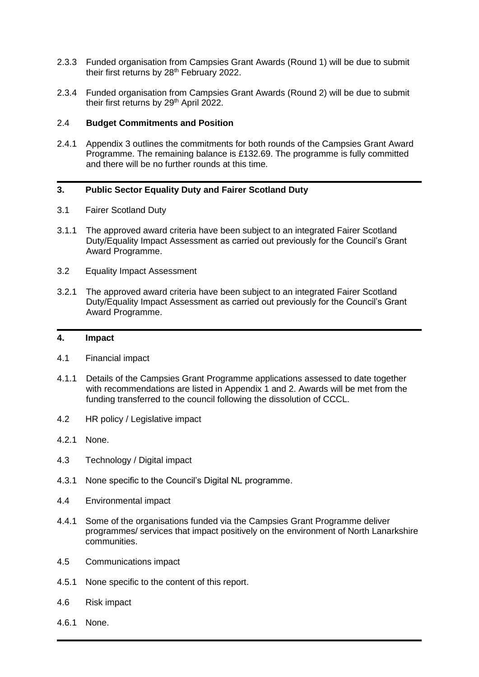- 2.3.3 Funded organisation from Campsies Grant Awards (Round 1) will be due to submit their first returns by 28<sup>th</sup> February 2022.
- 2.3.4 Funded organisation from Campsies Grant Awards (Round 2) will be due to submit their first returns by 29<sup>th</sup> April 2022.

#### 2.4 **Budget Commitments and Position**

2.4.1 Appendix 3 outlines the commitments for both rounds of the Campsies Grant Award Programme. The remaining balance is £132.69. The programme is fully committed and there will be no further rounds at this time.

#### **3. Public Sector Equality Duty and Fairer Scotland Duty**

- 3.1 Fairer Scotland Duty
- 3.1.1 The approved award criteria have been subject to an integrated Fairer Scotland Duty/Equality Impact Assessment as carried out previously for the Council's Grant Award Programme.
- 3.2 Equality Impact Assessment
- 3.2.1 The approved award criteria have been subject to an integrated Fairer Scotland Duty/Equality Impact Assessment as carried out previously for the Council's Grant Award Programme.

#### **4. Impact**

- 4.1 Financial impact
- 4.1.1 Details of the Campsies Grant Programme applications assessed to date together with recommendations are listed in Appendix 1 and 2. Awards will be met from the funding transferred to the council following the dissolution of CCCL.
- 4.2 HR policy / Legislative impact
- 4.2.1 None.
- 4.3 Technology / Digital impact
- 4.3.1 None specific to the Council's Digital NL programme.
- 4.4 Environmental impact
- 4.4.1 Some of the organisations funded via the Campsies Grant Programme deliver programmes/ services that impact positively on the environment of North Lanarkshire communities.
- 4.5 Communications impact
- 4.5.1 None specific to the content of this report.
- 4.6 Risk impact
- 4.6.1 None.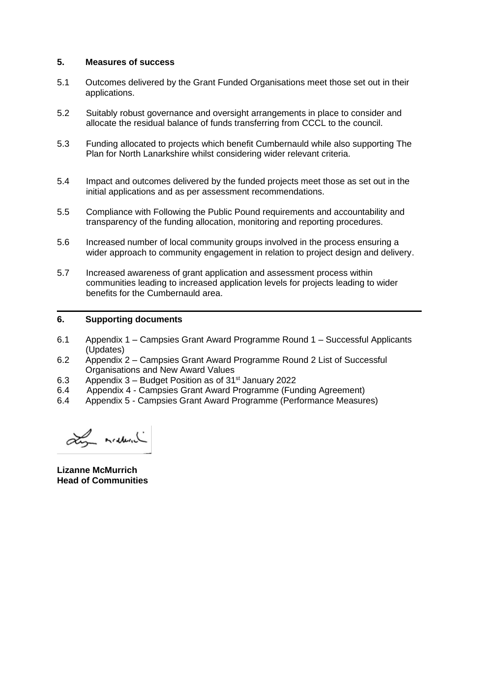#### **5. Measures of success**

- 5.1 Outcomes delivered by the Grant Funded Organisations meet those set out in their applications.
- 5.2 Suitably robust governance and oversight arrangements in place to consider and allocate the residual balance of funds transferring from CCCL to the council.
- 5.3 Funding allocated to projects which benefit Cumbernauld while also supporting The Plan for North Lanarkshire whilst considering wider relevant criteria.
- 5.4 Impact and outcomes delivered by the funded projects meet those as set out in the initial applications and as per assessment recommendations.
- 5.5 Compliance with Following the Public Pound requirements and accountability and transparency of the funding allocation, monitoring and reporting procedures.
- 5.6 Increased number of local community groups involved in the process ensuring a wider approach to community engagement in relation to project design and delivery.
- 5.7 Increased awareness of grant application and assessment process within communities leading to increased application levels for projects leading to wider benefits for the Cumbernauld area.

#### **6. Supporting documents**

- 6.1 Appendix 1 Campsies Grant Award Programme Round 1 Successful Applicants (Updates)
- 6.2 Appendix 2 Campsies Grant Award Programme Round 2 List of Successful Organisations and New Award Values
- 6.3 Appendix  $3 -$  Budget Position as of  $31<sup>st</sup>$  January 2022
- 6.4 Appendix 4 Campsies Grant Award Programme (Funding Agreement)
- 6.4 Appendix 5 Campsies Grant Award Programme (Performance Measures)

Ly median

**Lizanne McMurrich Head of Communities**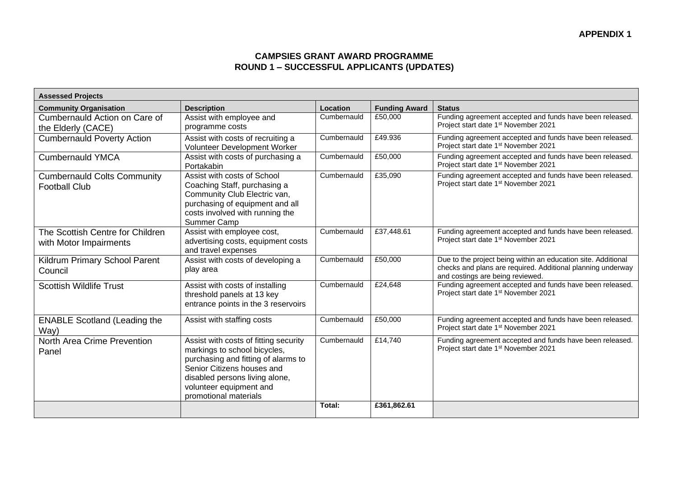### **CAMPSIES GRANT AWARD PROGRAMME ROUND 1 – SUCCESSFUL APPLICANTS (UPDATES)**

| <b>Assessed Projects</b>                                   |                                                                                                                                                                                                                                  |                 |                      |                                                                                                                                                                  |
|------------------------------------------------------------|----------------------------------------------------------------------------------------------------------------------------------------------------------------------------------------------------------------------------------|-----------------|----------------------|------------------------------------------------------------------------------------------------------------------------------------------------------------------|
| <b>Community Organisation</b>                              | <b>Description</b>                                                                                                                                                                                                               | <b>Location</b> | <b>Funding Award</b> | <b>Status</b>                                                                                                                                                    |
| Cumbernauld Action on Care of<br>the Elderly (CACE)        | Assist with employee and<br>programme costs                                                                                                                                                                                      | Cumbernauld     | £50,000              | Funding agreement accepted and funds have been released.<br>Project start date 1 <sup>st</sup> November 2021                                                     |
| <b>Cumbernauld Poverty Action</b>                          | Assist with costs of recruiting a<br>Volunteer Development Worker                                                                                                                                                                | Cumbernauld     | £49.936              | Funding agreement accepted and funds have been released.<br>Project start date 1 <sup>st</sup> November 2021                                                     |
| <b>Cumbernauld YMCA</b>                                    | Assist with costs of purchasing a<br>Portakabin                                                                                                                                                                                  | Cumbernauld     | £50,000              | Funding agreement accepted and funds have been released.<br>Project start date 1 <sup>st</sup> November 2021                                                     |
| <b>Cumbernauld Colts Community</b><br><b>Football Club</b> | Assist with costs of School<br>Coaching Staff, purchasing a<br>Community Club Electric van,<br>purchasing of equipment and all<br>costs involved with running the<br>Summer Camp                                                 | Cumbernauld     | £35,090              | Funding agreement accepted and funds have been released.<br>Project start date 1 <sup>st</sup> November 2021                                                     |
| The Scottish Centre for Children<br>with Motor Impairments | Assist with employee cost,<br>advertising costs, equipment costs<br>and travel expenses                                                                                                                                          | Cumbernauld     | £37,448.61           | Funding agreement accepted and funds have been released.<br>Project start date 1 <sup>st</sup> November 2021                                                     |
| Kildrum Primary School Parent<br>Council                   | Assist with costs of developing a<br>play area                                                                                                                                                                                   | Cumbernauld     | £50,000              | Due to the project being within an education site. Additional<br>checks and plans are required. Additional planning underway<br>and costings are being reviewed. |
| <b>Scottish Wildlife Trust</b>                             | Assist with costs of installing<br>threshold panels at 13 key<br>entrance points in the 3 reservoirs                                                                                                                             | Cumbernauld     | £24,648              | Funding agreement accepted and funds have been released.<br>Project start date 1 <sup>st</sup> November 2021                                                     |
| <b>ENABLE Scotland (Leading the</b><br>Way)                | Assist with staffing costs                                                                                                                                                                                                       | Cumbernauld     | £50,000              | Funding agreement accepted and funds have been released.<br>Project start date 1 <sup>st</sup> November 2021                                                     |
| North Area Crime Prevention<br>Panel                       | Assist with costs of fitting security<br>markings to school bicycles,<br>purchasing and fitting of alarms to<br>Senior Citizens houses and<br>disabled persons living alone,<br>volunteer equipment and<br>promotional materials | Cumbernauld     | £14,740              | Funding agreement accepted and funds have been released.<br>Project start date 1 <sup>st</sup> November 2021                                                     |
|                                                            |                                                                                                                                                                                                                                  | Total:          | £361,862.61          |                                                                                                                                                                  |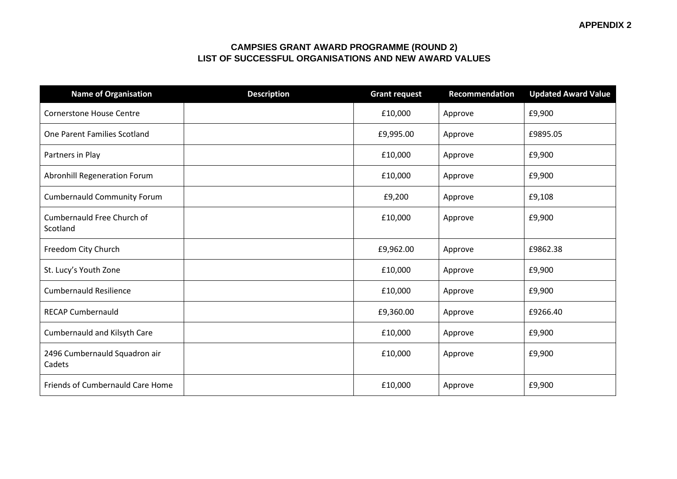#### **CAMPSIES GRANT AWARD PROGRAMME (ROUND 2) LIST OF SUCCESSFUL ORGANISATIONS AND NEW AWARD VALUES**

| <b>Name of Organisation</b>             | <b>Description</b> | <b>Grant request</b> | Recommendation | <b>Updated Award Value</b> |
|-----------------------------------------|--------------------|----------------------|----------------|----------------------------|
| <b>Cornerstone House Centre</b>         |                    | £10,000              | Approve        | £9,900                     |
| One Parent Families Scotland            |                    | £9,995.00            | Approve        | £9895.05                   |
| Partners in Play                        |                    | £10,000              | Approve        | £9,900                     |
| Abronhill Regeneration Forum            |                    | £10,000              | Approve        | £9,900                     |
| <b>Cumbernauld Community Forum</b>      |                    | £9,200               | Approve        | £9,108                     |
| Cumbernauld Free Church of<br>Scotland  |                    | £10,000              | Approve        | £9,900                     |
| Freedom City Church                     |                    | £9,962.00            | Approve        | £9862.38                   |
| St. Lucy's Youth Zone                   |                    | £10,000              | Approve        | £9,900                     |
| <b>Cumbernauld Resilience</b>           |                    | £10,000              | Approve        | £9,900                     |
| <b>RECAP Cumbernauld</b>                |                    | £9,360.00            | Approve        | £9266.40                   |
| <b>Cumbernauld and Kilsyth Care</b>     |                    | £10,000              | Approve        | £9,900                     |
| 2496 Cumbernauld Squadron air<br>Cadets |                    | £10,000              | Approve        | £9,900                     |
| Friends of Cumbernauld Care Home        |                    | £10,000              | Approve        | £9,900                     |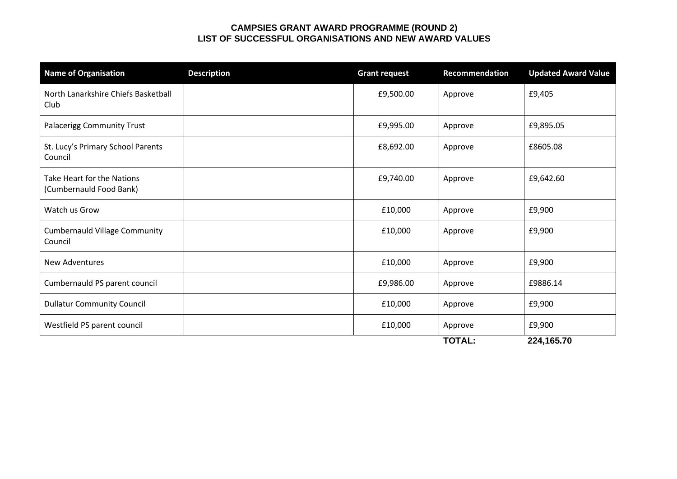#### **CAMPSIES GRANT AWARD PROGRAMME (ROUND 2) LIST OF SUCCESSFUL ORGANISATIONS AND NEW AWARD VALUES**

| <b>Name of Organisation</b>                           | <b>Description</b> | <b>Grant request</b> | <b>Recommendation</b> | <b>Updated Award Value</b> |
|-------------------------------------------------------|--------------------|----------------------|-----------------------|----------------------------|
| North Lanarkshire Chiefs Basketball<br>Club           |                    | £9,500.00            | Approve               | £9,405                     |
| Palacerigg Community Trust                            |                    | £9,995.00            | Approve               | £9,895.05                  |
| St. Lucy's Primary School Parents<br>Council          |                    | £8,692.00            | Approve               | £8605.08                   |
| Take Heart for the Nations<br>(Cumbernauld Food Bank) |                    | £9,740.00            | Approve               | £9,642.60                  |
| Watch us Grow                                         |                    | £10,000              | Approve               | £9,900                     |
| <b>Cumbernauld Village Community</b><br>Council       |                    | £10,000              | Approve               | £9,900                     |
| <b>New Adventures</b>                                 |                    | £10,000              | Approve               | £9,900                     |
| Cumbernauld PS parent council                         |                    | £9,986.00            | Approve               | £9886.14                   |
| <b>Dullatur Community Council</b>                     |                    | £10,000              | Approve               | £9,900                     |
| Westfield PS parent council                           |                    | £10,000              | Approve               | £9,900                     |
|                                                       |                    |                      | <b>TOTAL:</b>         | 224,165.70                 |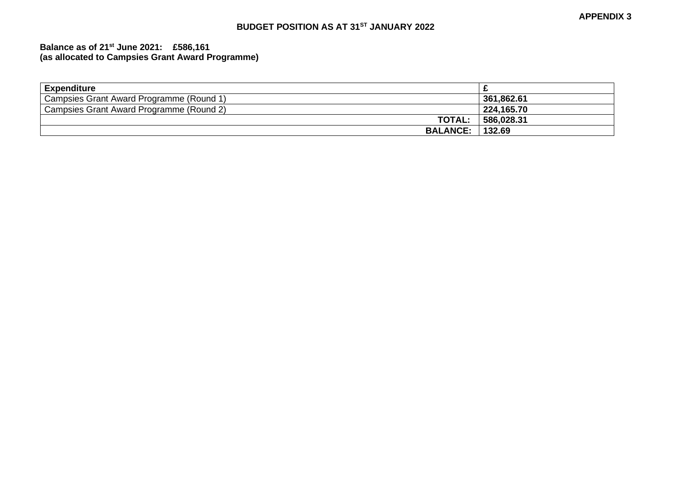# **BUDGET POSITION AS AT 31ST JANUARY 2022**

#### **Balance as of 21st June 2021: £586,161 (as allocated to Campsies Grant Award Programme)**

| <b>Expenditure</b>                       |            |
|------------------------------------------|------------|
| Campsies Grant Award Programme (Round 1) | 361,862.61 |
| Campsies Grant Award Programme (Round 2) | 224,165.70 |
| <b>TOTAL:</b>                            | 586,028.31 |
| <b>BALANCE:</b>                          | 132.69     |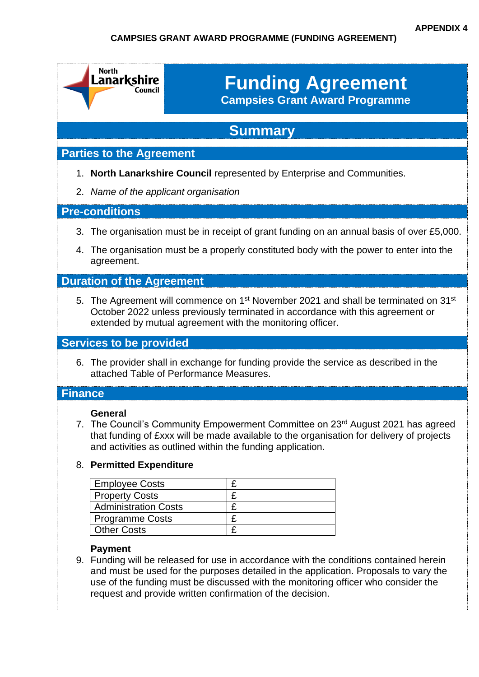# **CAMPSIES GRANT AWARD PROGRAMME (FUNDING AGREEMENT)**

|                | <b>North</b><br>Lanarkshire<br>Council                                                                                        | <b>Funding Agreement</b><br><b>Campsies Grant Award Programme</b>                                                                              |                                                                                                                                                                                  |
|----------------|-------------------------------------------------------------------------------------------------------------------------------|------------------------------------------------------------------------------------------------------------------------------------------------|----------------------------------------------------------------------------------------------------------------------------------------------------------------------------------|
|                |                                                                                                                               | <b>Summary</b>                                                                                                                                 |                                                                                                                                                                                  |
|                | <b>Parties to the Agreement</b>                                                                                               |                                                                                                                                                |                                                                                                                                                                                  |
|                | 2. Name of the applicant organisation                                                                                         | 1. North Lanarkshire Council represented by Enterprise and Communities.                                                                        |                                                                                                                                                                                  |
|                | <b>Pre-conditions</b>                                                                                                         |                                                                                                                                                |                                                                                                                                                                                  |
| 3.<br>4.       | agreement.                                                                                                                    |                                                                                                                                                | The organisation must be in receipt of grant funding on an annual basis of over £5,000.<br>The organisation must be a properly constituted body with the power to enter into the |
|                | <b>Duration of the Agreement</b>                                                                                              |                                                                                                                                                |                                                                                                                                                                                  |
|                |                                                                                                                               | October 2022 unless previously terminated in accordance with this agreement or<br>extended by mutual agreement with the monitoring officer.    | 5. The Agreement will commence on 1 <sup>st</sup> November 2021 and shall be terminated on 31 <sup>st</sup>                                                                      |
|                | <b>Services to be provided</b>                                                                                                |                                                                                                                                                |                                                                                                                                                                                  |
|                | attached Table of Performance Measures.                                                                                       | 6. The provider shall in exchange for funding provide the service as described in the                                                          |                                                                                                                                                                                  |
| <b>Finance</b> |                                                                                                                               |                                                                                                                                                |                                                                                                                                                                                  |
|                | <b>General</b>                                                                                                                | and activities as outlined within the funding application.                                                                                     | 7. The Council's Community Empowerment Committee on 23rd August 2021 has agreed<br>that funding of £xxx will be made available to the organisation for delivery of projects      |
|                | 8. Permitted Expenditure                                                                                                      |                                                                                                                                                |                                                                                                                                                                                  |
|                | <b>Employee Costs</b><br><b>Property Costs</b><br><b>Administration Costs</b><br><b>Programme Costs</b><br><b>Other Costs</b> | £<br>£<br>£<br>£<br>£                                                                                                                          |                                                                                                                                                                                  |
|                | <b>Payment</b>                                                                                                                | use of the funding must be discussed with the monitoring officer who consider the<br>request and provide written confirmation of the decision. | 9. Funding will be released for use in accordance with the conditions contained herein<br>and must be used for the purposes detailed in the application. Proposals to vary the   |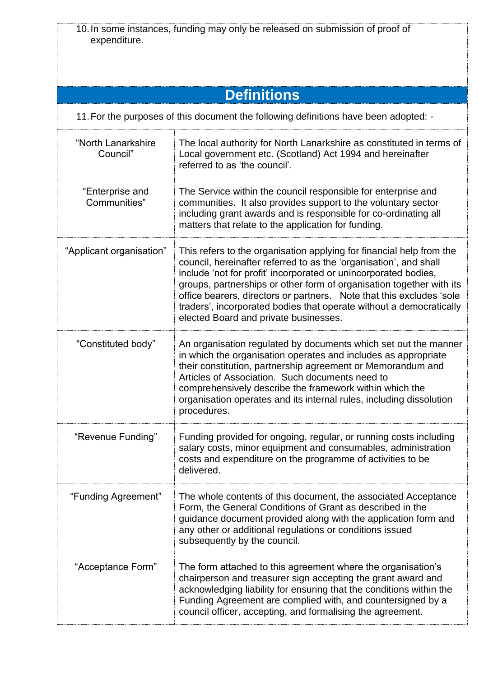| expenditure.                    | 10. In some instances, funding may only be released on submission of proof of                                                                                                                                                                                                                                                                                                                                                                                                |
|---------------------------------|------------------------------------------------------------------------------------------------------------------------------------------------------------------------------------------------------------------------------------------------------------------------------------------------------------------------------------------------------------------------------------------------------------------------------------------------------------------------------|
|                                 |                                                                                                                                                                                                                                                                                                                                                                                                                                                                              |
|                                 |                                                                                                                                                                                                                                                                                                                                                                                                                                                                              |
|                                 | <b>Definitions</b>                                                                                                                                                                                                                                                                                                                                                                                                                                                           |
|                                 | 11. For the purposes of this document the following definitions have been adopted: -                                                                                                                                                                                                                                                                                                                                                                                         |
| "North Lanarkshire<br>Council"  | The local authority for North Lanarkshire as constituted in terms of<br>Local government etc. (Scotland) Act 1994 and hereinafter<br>referred to as 'the council'.                                                                                                                                                                                                                                                                                                           |
| "Enterprise and<br>Communities" | The Service within the council responsible for enterprise and<br>communities. It also provides support to the voluntary sector<br>including grant awards and is responsible for co-ordinating all<br>matters that relate to the application for funding.                                                                                                                                                                                                                     |
| "Applicant organisation"        | This refers to the organisation applying for financial help from the<br>council, hereinafter referred to as the 'organisation', and shall<br>include 'not for profit' incorporated or unincorporated bodies,<br>groups, partnerships or other form of organisation together with its<br>office bearers, directors or partners. Note that this excludes 'sole<br>traders', incorporated bodies that operate without a democratically<br>elected Board and private businesses. |
| "Constituted body"              | An organisation regulated by documents which set out the manner<br>in which the organisation operates and includes as appropriate<br>their constitution, partnership agreement or Memorandum and<br>Articles of Association. Such documents need to<br>comprehensively describe the framework within which the<br>organisation operates and its internal rules, including dissolution<br>procedures.                                                                         |
| "Revenue Funding"               | Funding provided for ongoing, regular, or running costs including<br>salary costs, minor equipment and consumables, administration<br>costs and expenditure on the programme of activities to be<br>delivered.                                                                                                                                                                                                                                                               |
| "Funding Agreement"             | The whole contents of this document, the associated Acceptance<br>Form, the General Conditions of Grant as described in the<br>guidance document provided along with the application form and<br>any other or additional regulations or conditions issued<br>subsequently by the council.                                                                                                                                                                                    |
| "Acceptance Form"               | The form attached to this agreement where the organisation's<br>chairperson and treasurer sign accepting the grant award and<br>acknowledging liability for ensuring that the conditions within the<br>Funding Agreement are complied with, and countersigned by a<br>council officer, accepting, and formalising the agreement.                                                                                                                                             |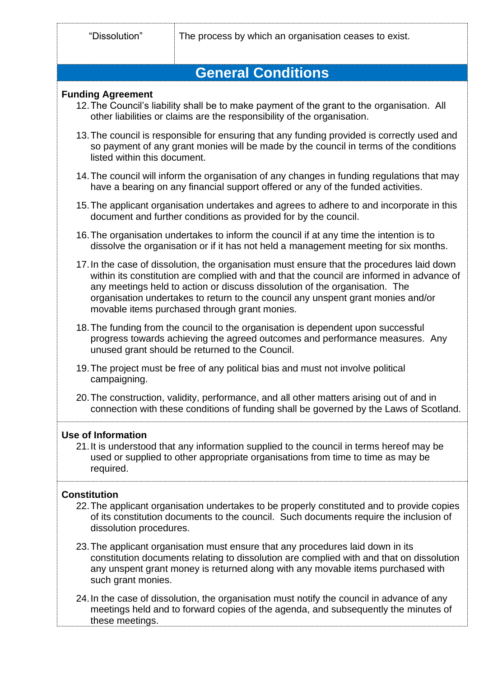# **General Conditions**

#### **Funding Agreement**

- 12.The Council's liability shall be to make payment of the grant to the organisation. All other liabilities or claims are the responsibility of the organisation.
- 13.The council is responsible for ensuring that any funding provided is correctly used and so payment of any grant monies will be made by the council in terms of the conditions listed within this document.
- 14.The council will inform the organisation of any changes in funding regulations that may have a bearing on any financial support offered or any of the funded activities.
- 15.The applicant organisation undertakes and agrees to adhere to and incorporate in this document and further conditions as provided for by the council.
- 16.The organisation undertakes to inform the council if at any time the intention is to dissolve the organisation or if it has not held a management meeting for six months.
- 17.In the case of dissolution, the organisation must ensure that the procedures laid down within its constitution are complied with and that the council are informed in advance of any meetings held to action or discuss dissolution of the organisation. The organisation undertakes to return to the council any unspent grant monies and/or movable items purchased through grant monies.
- 18.The funding from the council to the organisation is dependent upon successful progress towards achieving the agreed outcomes and performance measures. Any unused grant should be returned to the Council.
- 19.The project must be free of any political bias and must not involve political campaigning.
- 20.The construction, validity, performance, and all other matters arising out of and in connection with these conditions of funding shall be governed by the Laws of Scotland.

#### **Use of Information**

21.It is understood that any information supplied to the council in terms hereof may be used or supplied to other appropriate organisations from time to time as may be required.

# **Constitution**

- 22.The applicant organisation undertakes to be properly constituted and to provide copies of its constitution documents to the council. Such documents require the inclusion of dissolution procedures.
- 23.The applicant organisation must ensure that any procedures laid down in its constitution documents relating to dissolution are complied with and that on dissolution any unspent grant money is returned along with any movable items purchased with such grant monies.
- 24.In the case of dissolution, the organisation must notify the council in advance of any meetings held and to forward copies of the agenda, and subsequently the minutes of these meetings.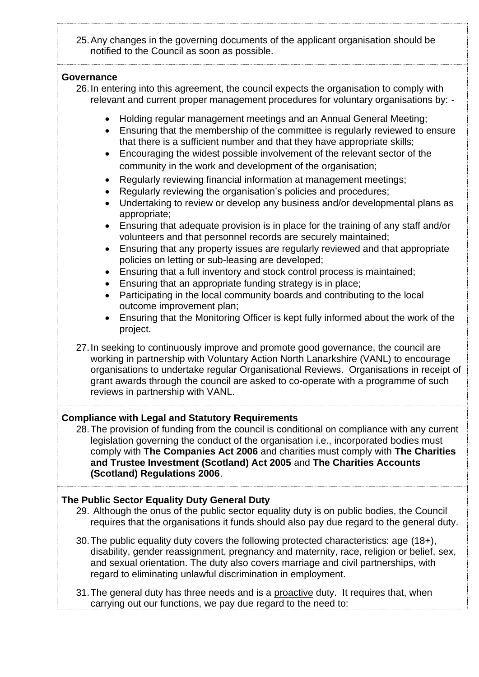25.Any changes in the governing documents of the applicant organisation should be notified to the Council as soon as possible.

#### **Governance**

- 26.In entering into this agreement, the council expects the organisation to comply with relevant and current proper management procedures for voluntary organisations by: -
	- Holding regular management meetings and an Annual General Meeting;
	- Ensuring that the membership of the committee is regularly reviewed to ensure that there is a sufficient number and that they have appropriate skills;
	- Encouraging the widest possible involvement of the relevant sector of the community in the work and development of the organisation;
	- Regularly reviewing financial information at management meetings;
	- Regularly reviewing the organisation's policies and procedures;
	- Undertaking to review or develop any business and/or developmental plans as appropriate;
	- Ensuring that adequate provision is in place for the training of any staff and/or volunteers and that personnel records are securely maintained;
	- Ensuring that any property issues are regularly reviewed and that appropriate policies on letting or sub-leasing are developed;
	- Ensuring that a full inventory and stock control process is maintained;
	- Ensuring that an appropriate funding strategy is in place;
	- Participating in the local community boards and contributing to the local outcome improvement plan;
	- Ensuring that the Monitoring Officer is kept fully informed about the work of the project.

27.In seeking to continuously improve and promote good governance, the council are working in partnership with Voluntary Action North Lanarkshire (VANL) to encourage organisations to undertake regular Organisational Reviews. Organisations in receipt of grant awards through the council are asked to co-operate with a programme of such reviews in partnership with VANL.

**Compliance with Legal and Statutory Requirements**

28.The provision of funding from the council is conditional on compliance with any current legislation governing the conduct of the organisation i.e., incorporated bodies must comply with **The Companies Act 2006** and charities must comply with **The Charities and Trustee Investment (Scotland) Act 2005** and **The Charities Accounts (Scotland) Regulations 2006**.

#### **The Public Sector Equality Duty General Duty**

- 29. Although the onus of the public sector equality duty is on public bodies, the Council requires that the organisations it funds should also pay due regard to the general duty.
- 30.The public equality duty covers the following protected characteristics: age (18+), disability, gender reassignment, pregnancy and maternity, race, religion or belief, sex, and sexual orientation. The duty also covers marriage and civil partnerships, with regard to eliminating unlawful discrimination in employment.
- 31.The general duty has three needs and is a proactive duty. It requires that, when carrying out our functions, we pay due regard to the need to: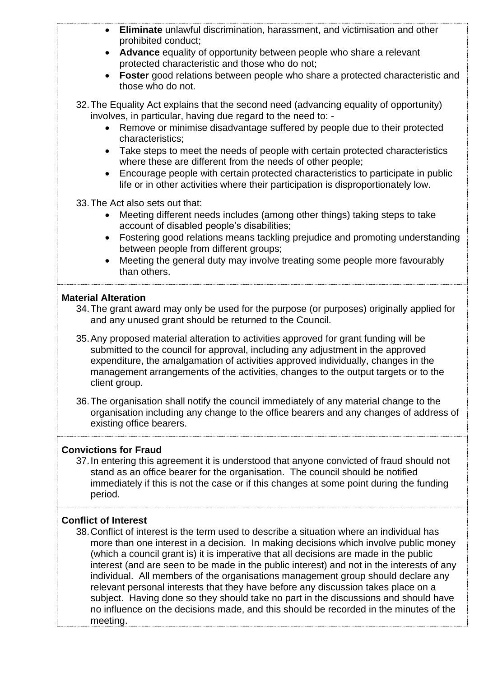| Eliminate unlawful discrimination, harassment, and victimisation and other<br>prohibited conduct;<br>Advance equality of opportunity between people who share a relevant<br>protected characteristic and those who do not;<br>Foster good relations between people who share a protected characteristic and<br>those who do not.<br>32. The Equality Act explains that the second need (advancing equality of opportunity)                                                                                                                                                                                                                                                                                                                                                  |
|-----------------------------------------------------------------------------------------------------------------------------------------------------------------------------------------------------------------------------------------------------------------------------------------------------------------------------------------------------------------------------------------------------------------------------------------------------------------------------------------------------------------------------------------------------------------------------------------------------------------------------------------------------------------------------------------------------------------------------------------------------------------------------|
| involves, in particular, having due regard to the need to: -<br>Remove or minimise disadvantage suffered by people due to their protected<br>$\bullet$<br>characteristics;<br>Take steps to meet the needs of people with certain protected characteristics<br>$\bullet$<br>where these are different from the needs of other people;<br>Encourage people with certain protected characteristics to participate in public<br>life or in other activities where their participation is disproportionately low.                                                                                                                                                                                                                                                               |
| 33. The Act also sets out that:<br>Meeting different needs includes (among other things) taking steps to take<br>$\bullet$<br>account of disabled people's disabilities;<br>Fostering good relations means tackling prejudice and promoting understanding<br>$\bullet$<br>between people from different groups;<br>Meeting the general duty may involve treating some people more favourably<br>than others.                                                                                                                                                                                                                                                                                                                                                                |
| <b>Material Alteration</b><br>34. The grant award may only be used for the purpose (or purposes) originally applied for<br>and any unused grant should be returned to the Council.                                                                                                                                                                                                                                                                                                                                                                                                                                                                                                                                                                                          |
| 35. Any proposed material alteration to activities approved for grant funding will be<br>submitted to the council for approval, including any adjustment in the approved<br>expenditure, the amalgamation of activities approved individually, changes in the<br>management arrangements of the activities, changes to the output targets or to the<br>client group.                                                                                                                                                                                                                                                                                                                                                                                                        |
| 36. The organisation shall notify the council immediately of any material change to the<br>organisation including any change to the office bearers and any changes of address of<br>existing office bearers.                                                                                                                                                                                                                                                                                                                                                                                                                                                                                                                                                                |
| <b>Convictions for Fraud</b><br>37. In entering this agreement it is understood that anyone convicted of fraud should not<br>stand as an office bearer for the organisation. The council should be notified<br>immediately if this is not the case or if this changes at some point during the funding<br>period.                                                                                                                                                                                                                                                                                                                                                                                                                                                           |
| <b>Conflict of Interest</b><br>38. Conflict of interest is the term used to describe a situation where an individual has<br>more than one interest in a decision. In making decisions which involve public money<br>(which a council grant is) it is imperative that all decisions are made in the public<br>interest (and are seen to be made in the public interest) and not in the interests of any<br>individual. All members of the organisations management group should declare any<br>relevant personal interests that they have before any discussion takes place on a<br>subject. Having done so they should take no part in the discussions and should have<br>no influence on the decisions made, and this should be recorded in the minutes of the<br>meeting. |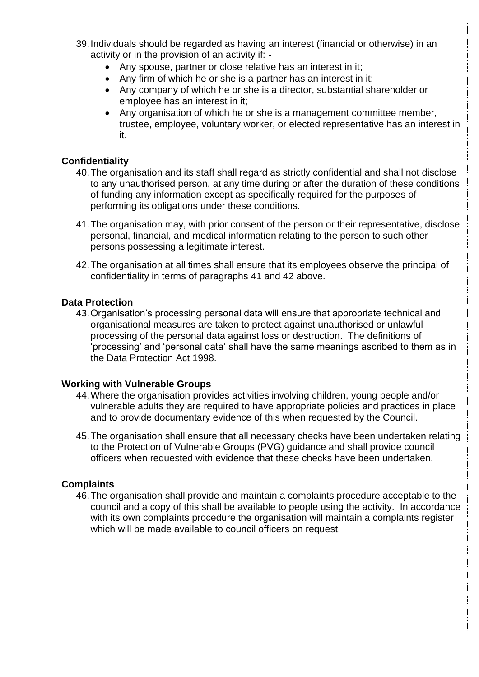- 39.Individuals should be regarded as having an interest (financial or otherwise) in an activity or in the provision of an activity if: -
	- Any spouse, partner or close relative has an interest in it;
	- Any firm of which he or she is a partner has an interest in it;
	- Any company of which he or she is a director, substantial shareholder or employee has an interest in it;
	- Any organisation of which he or she is a management committee member, trustee, employee, voluntary worker, or elected representative has an interest in it.

### **Confidentiality**

- 40.The organisation and its staff shall regard as strictly confidential and shall not disclose to any unauthorised person, at any time during or after the duration of these conditions of funding any information except as specifically required for the purposes of performing its obligations under these conditions.
- 41.The organisation may, with prior consent of the person or their representative, disclose personal, financial, and medical information relating to the person to such other persons possessing a legitimate interest.
- 42.The organisation at all times shall ensure that its employees observe the principal of confidentiality in terms of paragraphs 41 and 42 above.

#### **Data Protection**

43.Organisation's processing personal data will ensure that appropriate technical and organisational measures are taken to protect against unauthorised or unlawful processing of the personal data against loss or destruction. The definitions of 'processing' and 'personal data' shall have the same meanings ascribed to them as in the Data Protection Act 1998.

# **Working with Vulnerable Groups**

- 44.Where the organisation provides activities involving children, young people and/or vulnerable adults they are required to have appropriate policies and practices in place and to provide documentary evidence of this when requested by the Council.
- 45.The organisation shall ensure that all necessary checks have been undertaken relating to the Protection of Vulnerable Groups (PVG) guidance and shall provide council officers when requested with evidence that these checks have been undertaken.

# **Complaints**

46.The organisation shall provide and maintain a complaints procedure acceptable to the council and a copy of this shall be available to people using the activity. In accordance with its own complaints procedure the organisation will maintain a complaints register which will be made available to council officers on request.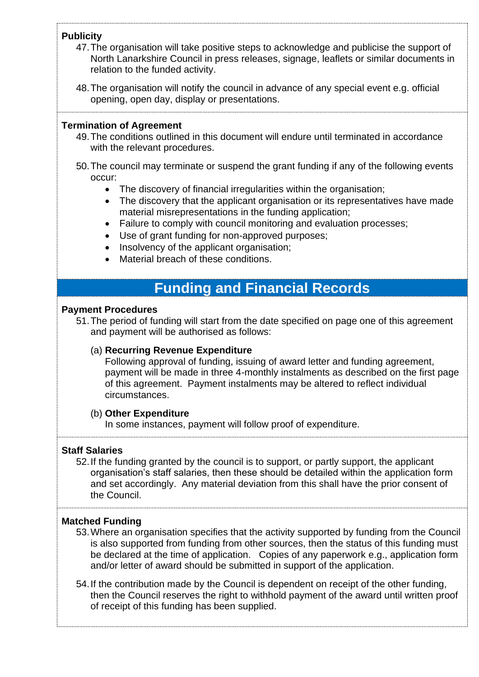# **Publicity**

- 47.The organisation will take positive steps to acknowledge and publicise the support of North Lanarkshire Council in press releases, signage, leaflets or similar documents in relation to the funded activity.
- 48.The organisation will notify the council in advance of any special event e.g. official opening, open day, display or presentations.

#### **Termination of Agreement**

- 49.The conditions outlined in this document will endure until terminated in accordance with the relevant procedures.
- 50.The council may terminate or suspend the grant funding if any of the following events occur:
	- The discovery of financial irregularities within the organisation;
	- The discovery that the applicant organisation or its representatives have made material misrepresentations in the funding application;
	- Failure to comply with council monitoring and evaluation processes;
	- Use of grant funding for non-approved purposes;
	- Insolvency of the applicant organisation;
	- Material breach of these conditions.

# **Funding and Financial Records**

#### **Payment Procedures**

51.The period of funding will start from the date specified on page one of this agreement and payment will be authorised as follows:

# (a) **Recurring Revenue Expenditure**

Following approval of funding, issuing of award letter and funding agreement, payment will be made in three 4-monthly instalments as described on the first page of this agreement. Payment instalments may be altered to reflect individual circumstances.

#### (b) **Other Expenditure**

In some instances, payment will follow proof of expenditure.

# **Staff Salaries**

52.If the funding granted by the council is to support, or partly support, the applicant organisation's staff salaries, then these should be detailed within the application form and set accordingly. Any material deviation from this shall have the prior consent of the Council.

#### **Matched Funding**

- 53.Where an organisation specifies that the activity supported by funding from the Council is also supported from funding from other sources, then the status of this funding must be declared at the time of application. Copies of any paperwork e.g., application form and/or letter of award should be submitted in support of the application.
- 54.If the contribution made by the Council is dependent on receipt of the other funding, then the Council reserves the right to withhold payment of the award until written proof of receipt of this funding has been supplied.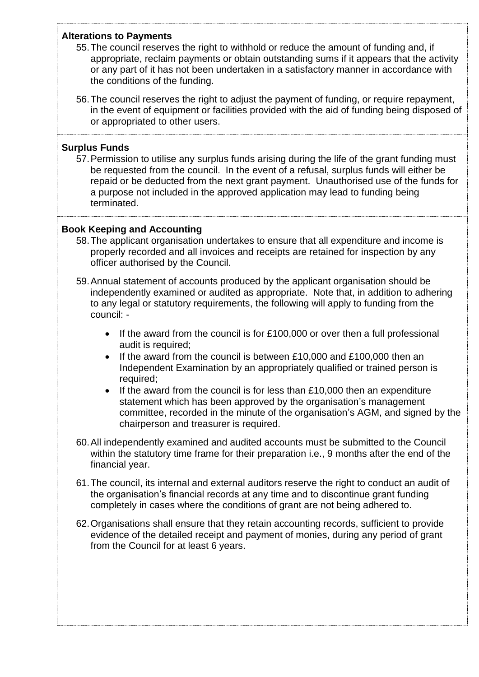### **Alterations to Payments**

- 55.The council reserves the right to withhold or reduce the amount of funding and, if appropriate, reclaim payments or obtain outstanding sums if it appears that the activity or any part of it has not been undertaken in a satisfactory manner in accordance with the conditions of the funding.
- 56.The council reserves the right to adjust the payment of funding, or require repayment, in the event of equipment or facilities provided with the aid of funding being disposed of or appropriated to other users.

### **Surplus Funds**

57.Permission to utilise any surplus funds arising during the life of the grant funding must be requested from the council. In the event of a refusal, surplus funds will either be repaid or be deducted from the next grant payment. Unauthorised use of the funds for a purpose not included in the approved application may lead to funding being terminated.

# **Book Keeping and Accounting**

- 58.The applicant organisation undertakes to ensure that all expenditure and income is properly recorded and all invoices and receipts are retained for inspection by any officer authorised by the Council.
- 59.Annual statement of accounts produced by the applicant organisation should be independently examined or audited as appropriate. Note that, in addition to adhering to any legal or statutory requirements, the following will apply to funding from the council: -
	- If the award from the council is for £100,000 or over then a full professional audit is required;
	- If the award from the council is between £10,000 and £100,000 then an Independent Examination by an appropriately qualified or trained person is required;
	- If the award from the council is for less than  $£10,000$  then an expenditure statement which has been approved by the organisation's management committee, recorded in the minute of the organisation's AGM, and signed by the chairperson and treasurer is required.
- 60.All independently examined and audited accounts must be submitted to the Council within the statutory time frame for their preparation i.e., 9 months after the end of the financial year.
- 61.The council, its internal and external auditors reserve the right to conduct an audit of the organisation's financial records at any time and to discontinue grant funding completely in cases where the conditions of grant are not being adhered to.
- 62.Organisations shall ensure that they retain accounting records, sufficient to provide evidence of the detailed receipt and payment of monies, during any period of grant from the Council for at least 6 years.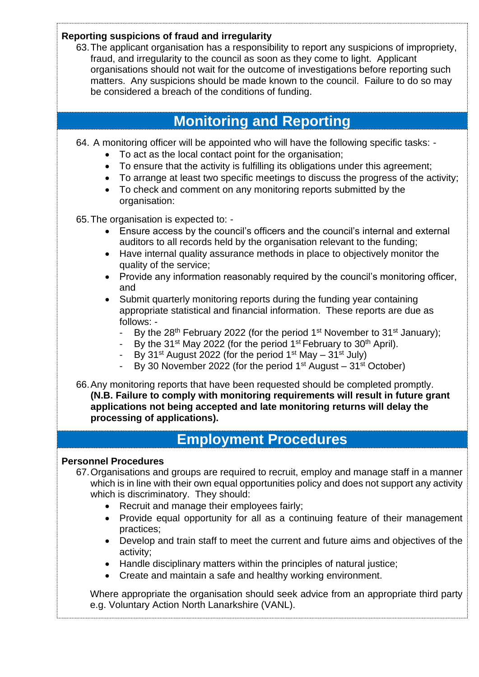| Reporting suspicions of fraud and irregularity<br>63. The applicant organisation has a responsibility to report any suspicions of impropriety,<br>fraud, and irregularity to the council as soon as they come to light. Applicant<br>organisations should not wait for the outcome of investigations before reporting such<br>matters. Any suspicions should be made known to the council. Failure to do so may<br>be considered a breach of the conditions of funding.                                                                                                                                                                                                                                                                                                                                                                                                                                                                                                                                                |
|------------------------------------------------------------------------------------------------------------------------------------------------------------------------------------------------------------------------------------------------------------------------------------------------------------------------------------------------------------------------------------------------------------------------------------------------------------------------------------------------------------------------------------------------------------------------------------------------------------------------------------------------------------------------------------------------------------------------------------------------------------------------------------------------------------------------------------------------------------------------------------------------------------------------------------------------------------------------------------------------------------------------|
| <b>Monitoring and Reporting</b>                                                                                                                                                                                                                                                                                                                                                                                                                                                                                                                                                                                                                                                                                                                                                                                                                                                                                                                                                                                        |
| 64. A monitoring officer will be appointed who will have the following specific tasks: -<br>To act as the local contact point for the organisation;<br>To ensure that the activity is fulfilling its obligations under this agreement;<br>$\bullet$<br>To arrange at least two specific meetings to discuss the progress of the activity;<br>$\bullet$<br>To check and comment on any monitoring reports submitted by the<br>$\bullet$<br>organisation:                                                                                                                                                                                                                                                                                                                                                                                                                                                                                                                                                                |
| 65. The organisation is expected to: -<br>Ensure access by the council's officers and the council's internal and external<br>auditors to all records held by the organisation relevant to the funding;<br>Have internal quality assurance methods in place to objectively monitor the<br>$\bullet$<br>quality of the service;<br>Provide any information reasonably required by the council's monitoring officer,<br>$\bullet$<br>and<br>Submit quarterly monitoring reports during the funding year containing<br>$\bullet$<br>appropriate statistical and financial information. These reports are due as<br>follows: -<br>By the 28th February 2022 (for the period 1 <sup>st</sup> November to 31 <sup>st</sup> January);<br>By the 31 <sup>st</sup> May 2022 (for the period 1 <sup>st</sup> February to 30 <sup>th</sup> April).<br>By 31 <sup>st</sup> August 2022 (for the period 1 <sup>st</sup> May – 31 <sup>st</sup> July)<br>By 30 November 2022 (for the period $1st$ August – 31 <sup>st</sup> October) |
| 66. Any monitoring reports that have been requested should be completed promptly.<br>(N.B. Failure to comply with monitoring requirements will result in future grant<br>applications not being accepted and late monitoring returns will delay the<br>processing of applications).                                                                                                                                                                                                                                                                                                                                                                                                                                                                                                                                                                                                                                                                                                                                    |
| <b>Employment Procedures</b>                                                                                                                                                                                                                                                                                                                                                                                                                                                                                                                                                                                                                                                                                                                                                                                                                                                                                                                                                                                           |
| <b>Personnel Procedures</b><br>67. Organisations and groups are required to recruit, employ and manage staff in a manner<br>which is in line with their own equal opportunities policy and does not support any activity<br>which is discriminatory. They should:<br>Recruit and manage their employees fairly;<br>$\bullet$<br>Provide equal opportunity for all as a continuing feature of their management<br>$\bullet$<br>practices;<br>Develop and train staff to meet the current and future aims and objectives of the<br>$\bullet$                                                                                                                                                                                                                                                                                                                                                                                                                                                                             |
| activity;<br>Handle disciplinary matters within the principles of natural justice;<br>$\bullet$<br>Create and maintain a safe and healthy working environment.<br>$\bullet$                                                                                                                                                                                                                                                                                                                                                                                                                                                                                                                                                                                                                                                                                                                                                                                                                                            |
| Where appropriate the organisation should seek advice from an appropriate third party<br>e.g. Voluntary Action North Lanarkshire (VANL).                                                                                                                                                                                                                                                                                                                                                                                                                                                                                                                                                                                                                                                                                                                                                                                                                                                                               |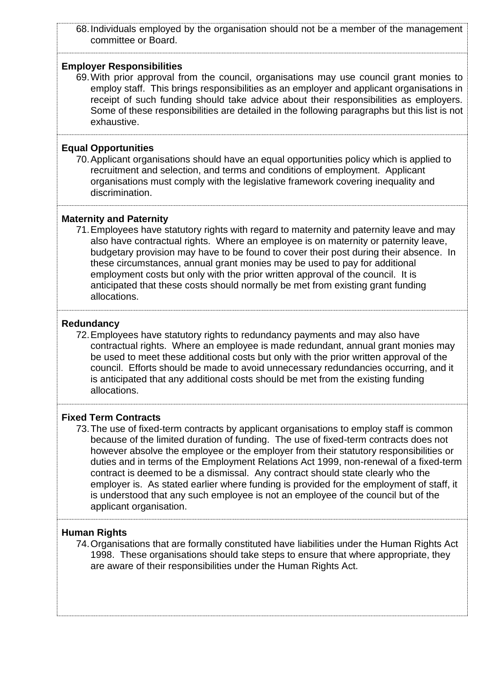68.Individuals employed by the organisation should not be a member of the management committee or Board.

#### **Employer Responsibilities**

69.With prior approval from the council, organisations may use council grant monies to employ staff. This brings responsibilities as an employer and applicant organisations in receipt of such funding should take advice about their responsibilities as employers. Some of these responsibilities are detailed in the following paragraphs but this list is not exhaustive.

#### **Equal Opportunities**

70.Applicant organisations should have an equal opportunities policy which is applied to recruitment and selection, and terms and conditions of employment. Applicant organisations must comply with the legislative framework covering inequality and discrimination.

#### **Maternity and Paternity**

71.Employees have statutory rights with regard to maternity and paternity leave and may also have contractual rights. Where an employee is on maternity or paternity leave, budgetary provision may have to be found to cover their post during their absence. In these circumstances, annual grant monies may be used to pay for additional employment costs but only with the prior written approval of the council. It is anticipated that these costs should normally be met from existing grant funding allocations.

#### **Redundancy**

72.Employees have statutory rights to redundancy payments and may also have contractual rights. Where an employee is made redundant, annual grant monies may be used to meet these additional costs but only with the prior written approval of the council. Efforts should be made to avoid unnecessary redundancies occurring, and it is anticipated that any additional costs should be met from the existing funding allocations.

#### **Fixed Term Contracts**

73.The use of fixed-term contracts by applicant organisations to employ staff is common because of the limited duration of funding. The use of fixed-term contracts does not however absolve the employee or the employer from their statutory responsibilities or duties and in terms of the Employment Relations Act 1999, non-renewal of a fixed-term contract is deemed to be a dismissal. Any contract should state clearly who the employer is. As stated earlier where funding is provided for the employment of staff, it is understood that any such employee is not an employee of the council but of the applicant organisation.

### **Human Rights**

74.Organisations that are formally constituted have liabilities under the Human Rights Act 1998. These organisations should take steps to ensure that where appropriate, they are aware of their responsibilities under the Human Rights Act.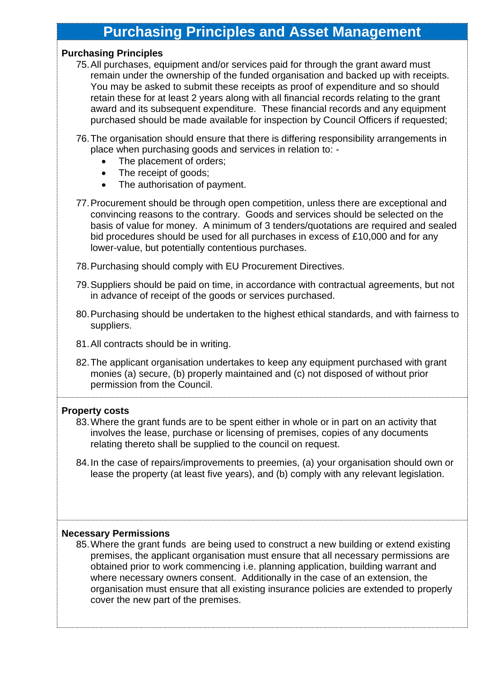# **Purchasing Principles and Asset Management**

#### **Purchasing Principles**

- 75.All purchases, equipment and/or services paid for through the grant award must remain under the ownership of the funded organisation and backed up with receipts. You may be asked to submit these receipts as proof of expenditure and so should retain these for at least 2 years along with all financial records relating to the grant award and its subsequent expenditure. These financial records and any equipment purchased should be made available for inspection by Council Officers if requested;
- 76.The organisation should ensure that there is differing responsibility arrangements in place when purchasing goods and services in relation to: -
	- The placement of orders;
	- The receipt of goods;
	- The authorisation of payment.
- 77.Procurement should be through open competition, unless there are exceptional and convincing reasons to the contrary. Goods and services should be selected on the basis of value for money. A minimum of 3 tenders/quotations are required and sealed bid procedures should be used for all purchases in excess of £10,000 and for any lower-value, but potentially contentious purchases.
- 78.Purchasing should comply with EU Procurement Directives.
- 79.Suppliers should be paid on time, in accordance with contractual agreements, but not in advance of receipt of the goods or services purchased.
- 80.Purchasing should be undertaken to the highest ethical standards, and with fairness to suppliers.
- 81.All contracts should be in writing.
- 82.The applicant organisation undertakes to keep any equipment purchased with grant monies (a) secure, (b) properly maintained and (c) not disposed of without prior permission from the Council.

#### **Property costs**

- 83.Where the grant funds are to be spent either in whole or in part on an activity that involves the lease, purchase or licensing of premises, copies of any documents relating thereto shall be supplied to the council on request.
- 84.In the case of repairs/improvements to preemies, (a) your organisation should own or lease the property (at least five years), and (b) comply with any relevant legislation.

#### **Necessary Permissions**

85.Where the grant funds are being used to construct a new building or extend existing premises, the applicant organisation must ensure that all necessary permissions are obtained prior to work commencing i.e. planning application, building warrant and where necessary owners consent. Additionally in the case of an extension, the organisation must ensure that all existing insurance policies are extended to properly cover the new part of the premises.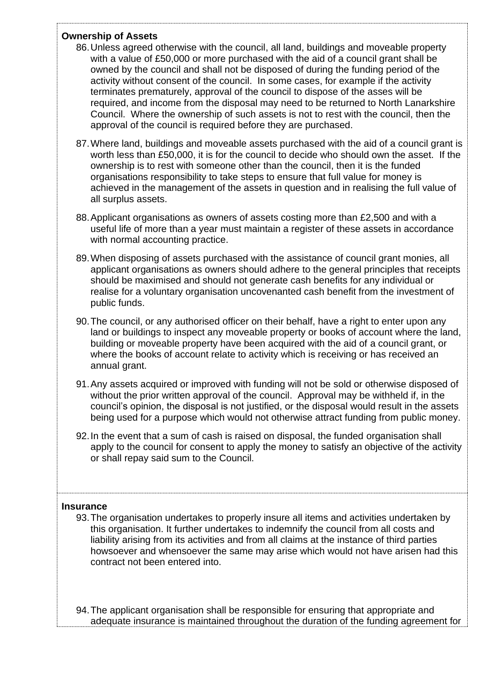### **Ownership of Assets**

- 86.Unless agreed otherwise with the council, all land, buildings and moveable property with a value of £50,000 or more purchased with the aid of a council grant shall be owned by the council and shall not be disposed of during the funding period of the activity without consent of the council. In some cases, for example if the activity terminates prematurely, approval of the council to dispose of the asses will be required, and income from the disposal may need to be returned to North Lanarkshire Council. Where the ownership of such assets is not to rest with the council, then the approval of the council is required before they are purchased.
- 87.Where land, buildings and moveable assets purchased with the aid of a council grant is worth less than £50,000, it is for the council to decide who should own the asset. If the ownership is to rest with someone other than the council, then it is the funded organisations responsibility to take steps to ensure that full value for money is achieved in the management of the assets in question and in realising the full value of all surplus assets.
- 88.Applicant organisations as owners of assets costing more than £2,500 and with a useful life of more than a year must maintain a register of these assets in accordance with normal accounting practice.
- 89.When disposing of assets purchased with the assistance of council grant monies, all applicant organisations as owners should adhere to the general principles that receipts should be maximised and should not generate cash benefits for any individual or realise for a voluntary organisation uncovenanted cash benefit from the investment of public funds.
- 90.The council, or any authorised officer on their behalf, have a right to enter upon any land or buildings to inspect any moveable property or books of account where the land, building or moveable property have been acquired with the aid of a council grant, or where the books of account relate to activity which is receiving or has received an annual grant.
- 91.Any assets acquired or improved with funding will not be sold or otherwise disposed of without the prior written approval of the council. Approval may be withheld if, in the council's opinion, the disposal is not justified, or the disposal would result in the assets being used for a purpose which would not otherwise attract funding from public money.
- 92.In the event that a sum of cash is raised on disposal, the funded organisation shall apply to the council for consent to apply the money to satisfy an objective of the activity or shall repay said sum to the Council.

# **Insurance**

93.The organisation undertakes to properly insure all items and activities undertaken by this organisation. It further undertakes to indemnify the council from all costs and liability arising from its activities and from all claims at the instance of third parties howsoever and whensoever the same may arise which would not have arisen had this contract not been entered into.

94.The applicant organisation shall be responsible for ensuring that appropriate and adequate insurance is maintained throughout the duration of the funding agreement for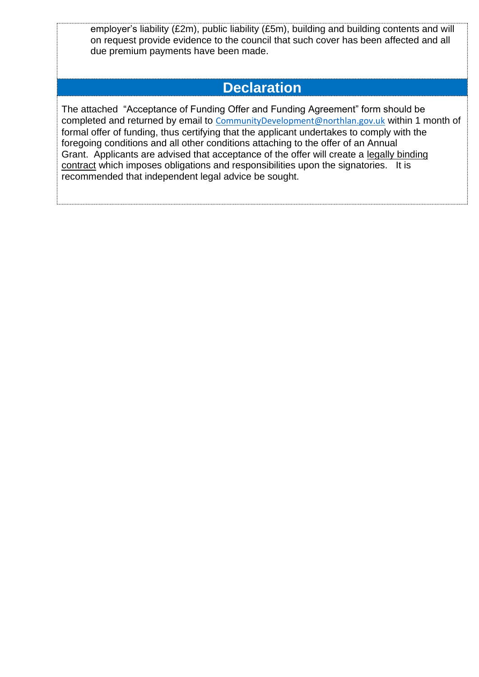employer's liability (£2m), public liability (£5m), building and building contents and will on request provide evidence to the council that such cover has been affected and all due premium payments have been made.

# **Declaration**

The attached "Acceptance of Funding Offer and Funding Agreement" form should be completed and returned by email to [CommunityDevelopment@northlan.gov.uk](mailto:CommunityDevelopment@northlan.gov.uk) within 1 month of formal offer of funding, thus certifying that the applicant undertakes to comply with the foregoing conditions and all other conditions attaching to the offer of an Annual Grant. Applicants are advised that acceptance of the offer will create a legally binding contract which imposes obligations and responsibilities upon the signatories. It is recommended that independent legal advice be sought.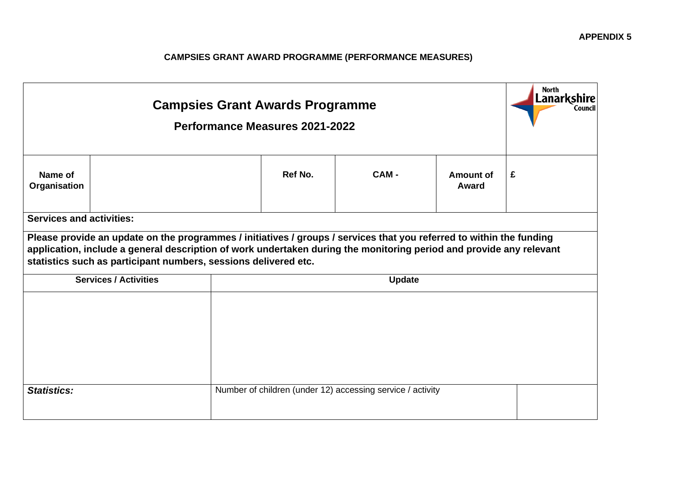# **CAMPSIES GRANT AWARD PROGRAMME (PERFORMANCE MEASURES)**

|                                 |                              | <b>Campsies Grant Awards Programme</b><br>Performance Measures 2021-2022                                                                                                                                                                                                                                       |               |                    | North<br><b>Lanarkshire</b><br>Council |
|---------------------------------|------------------------------|----------------------------------------------------------------------------------------------------------------------------------------------------------------------------------------------------------------------------------------------------------------------------------------------------------------|---------------|--------------------|----------------------------------------|
| Name of<br>Organisation         |                              | Ref No.                                                                                                                                                                                                                                                                                                        | CAM-          | Amount of<br>Award | £                                      |
| <b>Services and activities:</b> |                              | Please provide an update on the programmes / initiatives / groups / services that you referred to within the funding<br>application, include a general description of work undertaken during the monitoring period and provide any relevant<br>statistics such as participant numbers, sessions delivered etc. |               |                    |                                        |
|                                 | <b>Services / Activities</b> |                                                                                                                                                                                                                                                                                                                | <b>Update</b> |                    |                                        |
|                                 |                              |                                                                                                                                                                                                                                                                                                                |               |                    |                                        |
| <b>Statistics:</b>              |                              | Number of children (under 12) accessing service / activity                                                                                                                                                                                                                                                     |               |                    |                                        |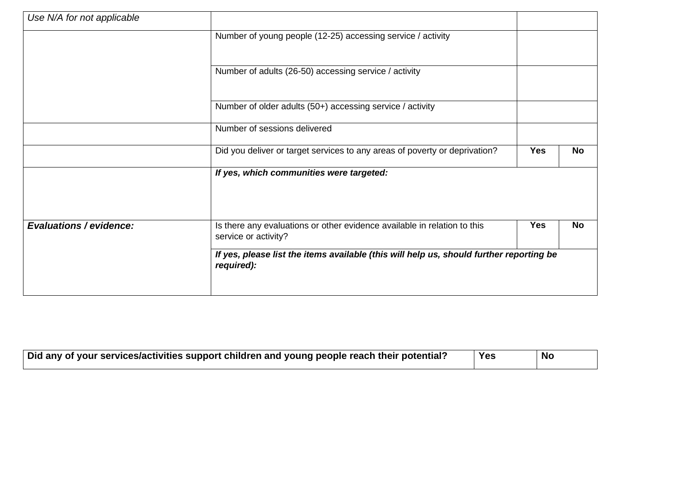| Use N/A for not applicable     |                                                                                                       |            |           |
|--------------------------------|-------------------------------------------------------------------------------------------------------|------------|-----------|
|                                | Number of young people (12-25) accessing service / activity                                           |            |           |
|                                | Number of adults (26-50) accessing service / activity                                                 |            |           |
|                                | Number of older adults (50+) accessing service / activity                                             |            |           |
|                                | Number of sessions delivered                                                                          |            |           |
|                                | Did you deliver or target services to any areas of poverty or deprivation?                            | <b>Yes</b> | <b>No</b> |
|                                | If yes, which communities were targeted:                                                              |            |           |
| <b>Evaluations / evidence:</b> | Is there any evaluations or other evidence available in relation to this<br>service or activity?      | <b>Yes</b> | <b>No</b> |
|                                | If yes, please list the items available (this will help us, should further reporting be<br>required): |            |           |

| Did any of your services/activities support children and young people reach their potential? | Yes | No |
|----------------------------------------------------------------------------------------------|-----|----|
|                                                                                              |     |    |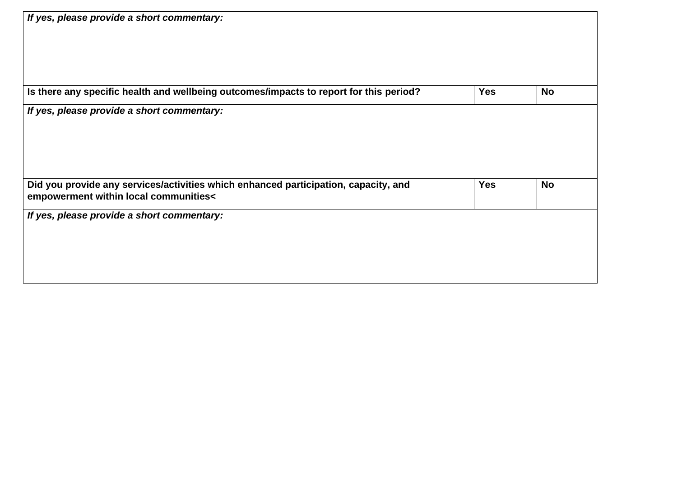| If yes, please provide a short commentary:                                             |            |           |
|----------------------------------------------------------------------------------------|------------|-----------|
|                                                                                        |            |           |
|                                                                                        |            |           |
|                                                                                        |            |           |
| Is there any specific health and wellbeing outcomes/impacts to report for this period? | <b>Yes</b> | <b>No</b> |
| If yes, please provide a short commentary:                                             |            |           |
|                                                                                        |            |           |
|                                                                                        |            |           |
|                                                                                        |            |           |
|                                                                                        |            |           |
|                                                                                        |            |           |
| Did you provide any services/activities which enhanced participation, capacity, and    | <b>Yes</b> | <b>No</b> |
| empowerment within local communities<                                                  |            |           |
| If yes, please provide a short commentary:                                             |            |           |
|                                                                                        |            |           |
|                                                                                        |            |           |
|                                                                                        |            |           |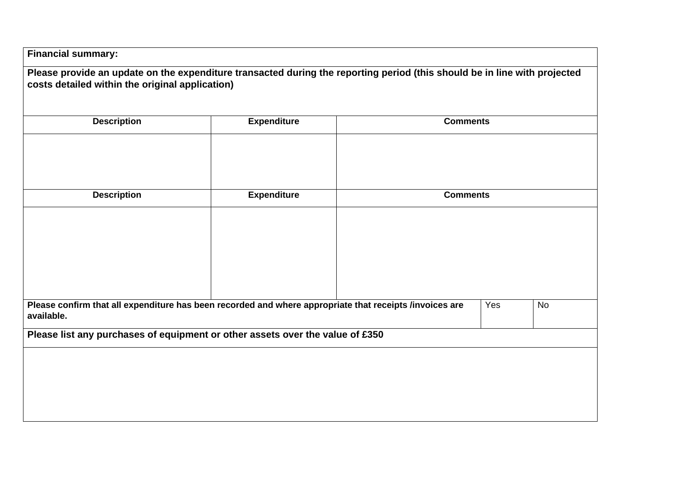| <b>Description</b> | <b>Expenditure</b>                                                                                      | <b>Comments</b> |           |
|--------------------|---------------------------------------------------------------------------------------------------------|-----------------|-----------|
| <b>Description</b> | <b>Expenditure</b>                                                                                      | <b>Comments</b> |           |
|                    |                                                                                                         |                 |           |
| available.         | Please confirm that all expenditure has been recorded and where appropriate that receipts /invoices are | Yes             | <b>No</b> |
|                    | Please list any purchases of equipment or other assets over the value of £350                           |                 |           |